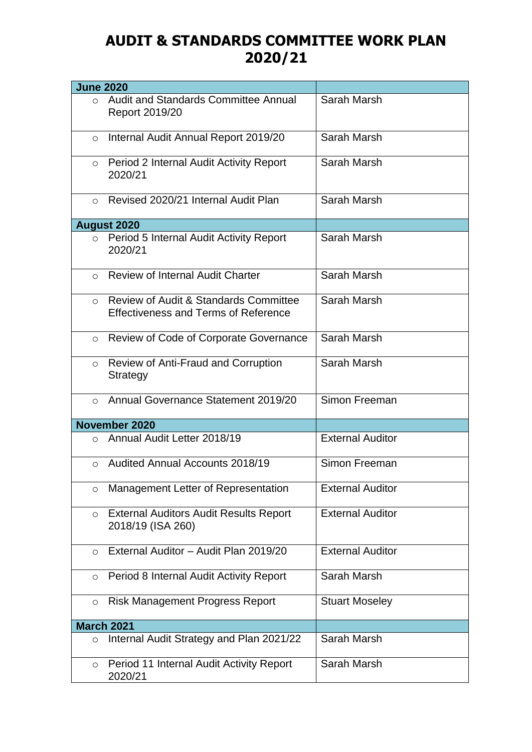## **AUDIT & STANDARDS COMMITTEE WORK PLAN 2020/21**

| <b>June 2020</b> |                                                                                                 |                         |
|------------------|-------------------------------------------------------------------------------------------------|-------------------------|
| $\Omega$         | Audit and Standards Committee Annual<br>Report 2019/20                                          | Sarah Marsh             |
| $\circ$          | Internal Audit Annual Report 2019/20                                                            | Sarah Marsh             |
| $\circ$          | Period 2 Internal Audit Activity Report<br>2020/21                                              | Sarah Marsh             |
| $\bigcirc$       | Revised 2020/21 Internal Audit Plan                                                             | Sarah Marsh             |
|                  | <b>August 2020</b>                                                                              |                         |
|                  | o Period 5 Internal Audit Activity Report<br>2020/21                                            | Sarah Marsh             |
|                  | o Review of Internal Audit Charter                                                              | Sarah Marsh             |
| $\Omega$         | <b>Review of Audit &amp; Standards Committee</b><br><b>Effectiveness and Terms of Reference</b> | Sarah Marsh             |
| $\circ$          | Review of Code of Corporate Governance                                                          | Sarah Marsh             |
| $\circ$          | <b>Review of Anti-Fraud and Corruption</b><br>Strategy                                          | Sarah Marsh             |
| $\bigcirc$       | Annual Governance Statement 2019/20                                                             | Simon Freeman           |
|                  | November 2020                                                                                   |                         |
| $\bigcirc$       | Annual Audit Letter 2018/19                                                                     | <b>External Auditor</b> |
| $\bigcirc$       | <b>Audited Annual Accounts 2018/19</b>                                                          | Simon Freeman           |
| $\circ$          | Management Letter of Representation                                                             | <b>External Auditor</b> |
| $\circ$          | <b>External Auditors Audit Results Report</b><br>2018/19 (ISA 260)                              | <b>External Auditor</b> |
| $\circ$          | External Auditor - Audit Plan 2019/20                                                           | <b>External Auditor</b> |
| $\circ$          | Period 8 Internal Audit Activity Report                                                         | Sarah Marsh             |
| $\circ$          | <b>Risk Management Progress Report</b>                                                          | <b>Stuart Moseley</b>   |
|                  | <b>March 2021</b>                                                                               |                         |
| $\circ$          | Internal Audit Strategy and Plan 2021/22                                                        | Sarah Marsh             |
| $\circ$          | Period 11 Internal Audit Activity Report<br>2020/21                                             | Sarah Marsh             |